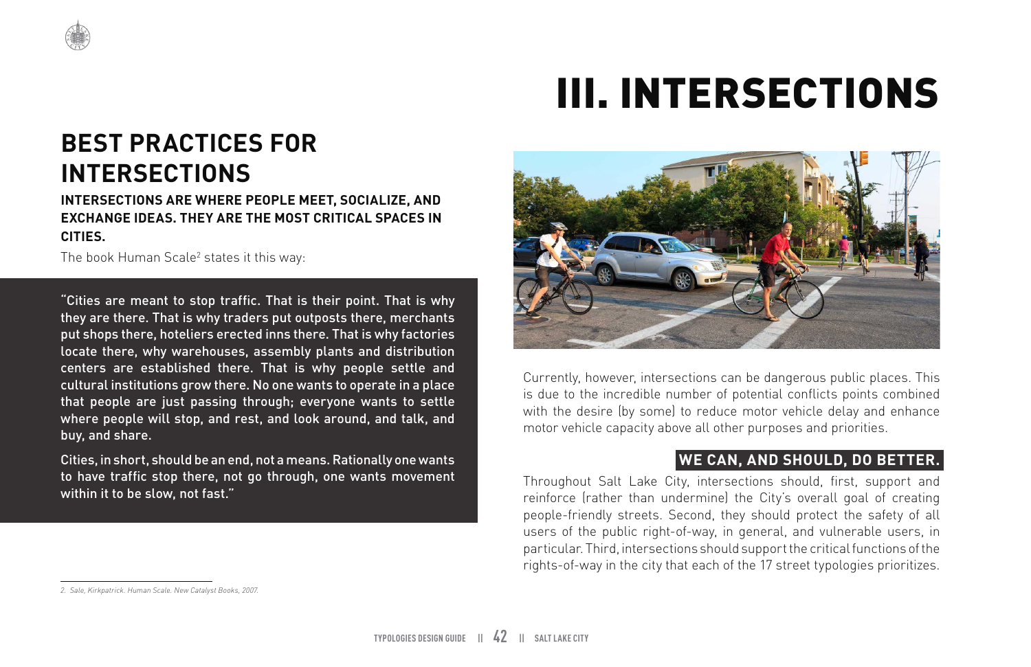# III. INTERSECTIONS

# **BEST PRACTICES FOR INTERSECTIONS**

#### **INTERSECTIONS ARE WHERE PEOPLE MEET, SOCIALIZE, AND EXCHANGE IDEAS. THEY ARE THE MOST CRITICAL SPACES IN CITIES.**

The book Human Scale<sup>2</sup> states it this way:

"Cities are meant to stop traffic. That is their point. That is why they are there. That is why traders put outposts there, merchants put shops there, hoteliers erected inns there. That is why factories locate there, why warehouses, assembly plants and distribution centers are established there. That is why people settle and cultural institutions grow there. No one wants to operate in a place that people are just passing through; everyone wants to settle where people will stop, and rest, and look around, and talk, and buy, and share.

Cities, in short, should be an end, not a means. Rationally one wants to have traffic stop there, not go through, one wants movement within it to be slow, not fast."



Currently, however, intersections can be dangerous public places. This is due to the incredible number of potential conflicts points combined with the desire (by some) to reduce motor vehicle delay and enhance motor vehicle capacity above all other purposes and priorities.

### **WE CAN, AND SHOULD, DO BETTER.**

Throughout Salt Lake City, intersections should, first, support and reinforce (rather than undermine) the City's overall goal of creating people-friendly streets. Second, they should protect the safety of all users of the public right-of-way, in general, and vulnerable users, in particular. Third, intersections should support the critical functions of the rights-of-way in the city that each of the 17 street typologies prioritizes.

*<sup>2.</sup> Sale, Kirkpatrick. Human Scale. New Catalyst Books, 2007.*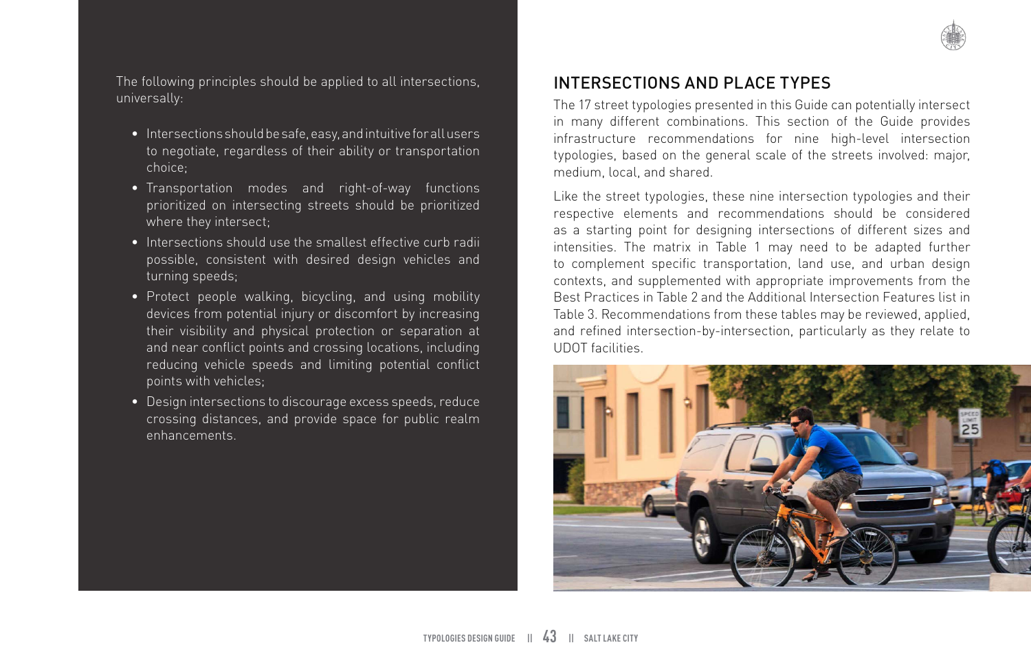

The following principles should be applied to all intersections, universally:

- Intersections should be safe, easy, and intuitive for all users to negotiate, regardless of their ability or transportation choice;
- Transportation modes and right-of-way functions prioritized on intersecting streets should be prioritized where they intersect;
- Intersections should use the smallest effective curb radii possible, consistent with desired design vehicles and turning speeds;
- Protect people walking, bicycling, and using mobility devices from potential injury or discomfort by increasing their visibility and physical protection or separation at and near conflict points and crossing locations, including reducing vehicle speeds and limiting potential conflict points with vehicles;
- Design intersections to discourage excess speeds, reduce crossing distances, and provide space for public realm enhancements.

## INTERSECTIONS AND PLACE TYPES

The 17 street typologies presented in this Guide can potentially intersect in many different combinations. This section of the Guide provides infrastructure recommendations for nine high-level intersection typologies, based on the general scale of the streets involved: major, medium, local, and shared.

Like the street typologies, these nine intersection typologies and their respective elements and recommendations should be considered as a starting point for designing intersections of different sizes and intensities. The matrix in Table 1 may need to be adapted further to complement specific transportation, land use, and urban design contexts, and supplemented with appropriate improvements from the Best Practices in Table 2 and the Additional Intersection Features list in Table 3. Recommendations from these tables may be reviewed, applied, and refined intersection-by-intersection, particularly as they relate to UDOT facilities.

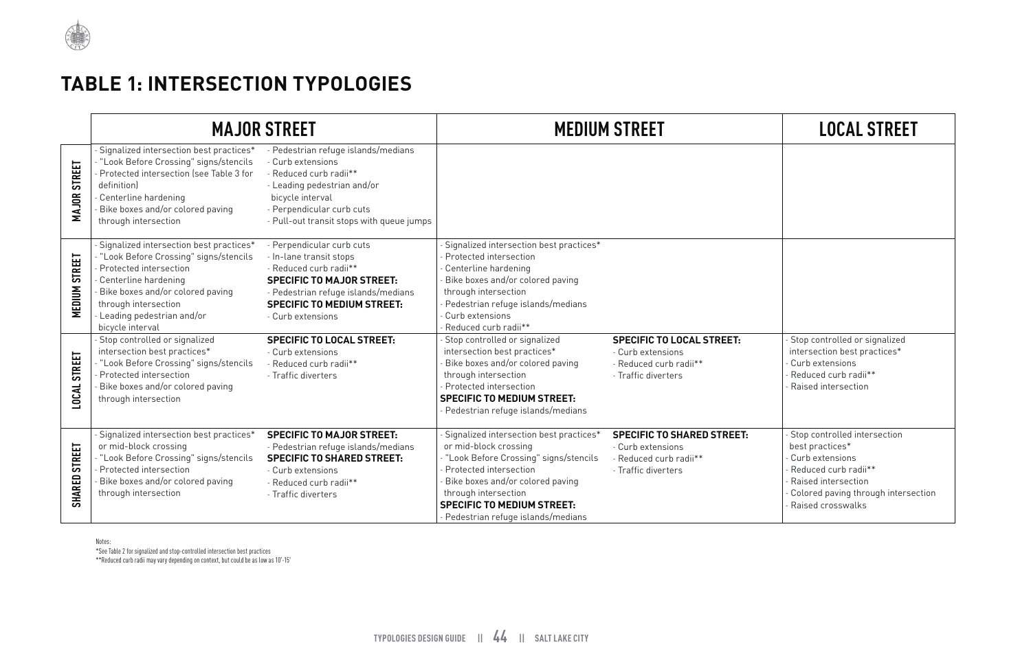

# **TABLE 1: INTERSECTION TYPOLOGIES**

|                                      |                                                                                                                                                                                                                                                 | <b>MAJOR STREET</b>                                                                                                                                                                                                 |                                                                                                                                                                                                                                                                             | <b>MEDIUM STREET</b>                                                                                    | <b>LOCAL STREET</b>                                                                                                                                                      |
|--------------------------------------|-------------------------------------------------------------------------------------------------------------------------------------------------------------------------------------------------------------------------------------------------|---------------------------------------------------------------------------------------------------------------------------------------------------------------------------------------------------------------------|-----------------------------------------------------------------------------------------------------------------------------------------------------------------------------------------------------------------------------------------------------------------------------|---------------------------------------------------------------------------------------------------------|--------------------------------------------------------------------------------------------------------------------------------------------------------------------------|
| <b>MAJOR STREET</b>                  | Signalized intersection best practices*<br>"Look Before Crossing" signs/stencils<br>Protected intersection (see Table 3 for<br>definition)<br>Centerline hardening<br>Bike boxes and/or colored paving<br>through intersection                  | - Pedestrian refuge islands/medians<br>- Curb extensions<br>- Reduced curb radii**<br>- Leading pedestrian and/or<br>bicycle interval<br>- Perpendicular curb cuts<br>- Pull-out transit stops with queue jumps     |                                                                                                                                                                                                                                                                             |                                                                                                         |                                                                                                                                                                          |
| <b>MEDIUM STREET</b>                 | Signalized intersection best practices*<br>"Look Before Crossing" signs/stencils<br>Protected intersection<br>Centerline hardening<br>Bike boxes and/or colored paving<br>through intersection<br>Leading pedestrian and/or<br>bicycle interval | - Perpendicular curb cuts<br>- In-lane transit stops<br>- Reduced curb radii**<br><b>SPECIFIC TO MAJOR STREET:</b><br>- Pedestrian refuge islands/medians<br><b>SPECIFIC TO MEDIUM STREET:</b><br>- Curb extensions | Signalized intersection best practices*<br>Protected intersection<br>Centerline hardening<br>Bike boxes and/or colored paving<br>through intersection<br>Pedestrian refuge islands/medians<br>Curb extensions<br>Reduced curb radii**                                       |                                                                                                         |                                                                                                                                                                          |
| LOCAL STREET                         | Stop controlled or signalized<br>intersection best practices*<br>"Look Before Crossing" signs/stencils<br>Protected intersection<br>Bike boxes and/or colored paving<br>through intersection                                                    | <b>SPECIFIC TO LOCAL STREET:</b><br>- Curb extensions<br>- Reduced curb radii**<br>- Traffic diverters                                                                                                              | Stop controlled or signalized<br>intersection best practices*<br>Bike boxes and/or colored paving<br>through intersection<br>Protected intersection<br><b>SPECIFIC TO MEDIUM STREET:</b><br>Pedestrian refuge islands/medians                                               | <b>SPECIFIC TO LOCAL STREET:</b><br>- Curb extensions<br>- Reduced curb radii**<br>- Traffic diverters  | Stop controlled or signalized<br>intersection best practices*<br>Curb extensions<br>Reduced curb radii**<br>Raised intersection                                          |
| <b>STREET</b><br>SHARED <sub>1</sub> | Signalized intersection best practices*<br>or mid-block crossing<br>"Look Before Crossing" signs/stencils<br>Protected intersection<br>Bike boxes and/or colored paving<br>through intersection                                                 | <b>SPECIFIC TO MAJOR STREET:</b><br>- Pedestrian refuge islands/medians<br><b>SPECIFIC TO SHARED STREET:</b><br>- Curb extensions<br>- Reduced curb radii**<br>- Traffic diverters                                  | Signalized intersection best practices*<br>or mid-block crossing<br>- "Look Before Crossing" signs/stencils<br>Protected intersection<br>Bike boxes and/or colored paving<br>through intersection<br><b>SPECIFIC TO MEDIUM STREET:</b><br>Pedestrian refuge islands/medians | <b>SPECIFIC TO SHARED STREET:</b><br>- Curb extensions<br>- Reduced curb radii**<br>- Traffic diverters | Stop controlled intersection<br>best practices*<br>Curb extensions<br>Reduced curb radii**<br>Raised intersection<br>Colored paving through interse<br>Raised crosswalks |

| <b>LOCAL STREET</b>                                                                                                                                                                       |
|-------------------------------------------------------------------------------------------------------------------------------------------------------------------------------------------|
|                                                                                                                                                                                           |
|                                                                                                                                                                                           |
| - Stop controlled or signalized<br>intersection best practices*<br>- Curb extensions<br>- Reduced curb radii**<br>- Raised intersection                                                   |
| - Stop controlled intersection<br>best practices*<br>- Curb extensions<br>- Reduced curb radii**<br>- Raised intersection<br>- Colored paving through intersection<br>- Raised crosswalks |

Notes:

\*See Table 2 for signalized and stop-controlled intersection best practices

\*\*Reduced curb radii may vary depending on context, but could be as low as 10'-15'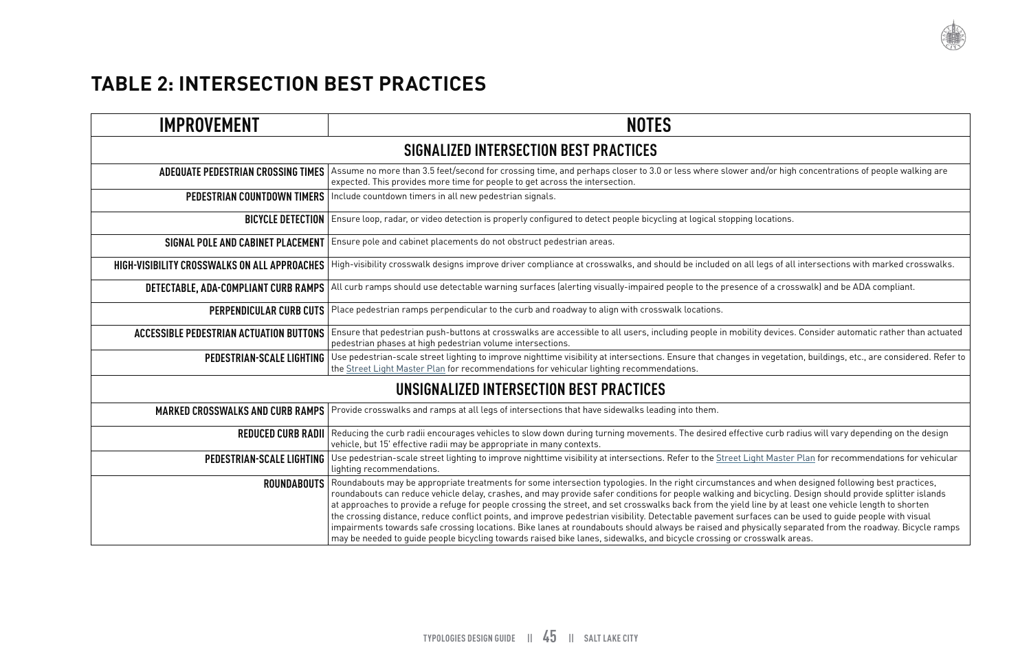

 $A<sub>1</sub>$  and/or high concentrations of people walking are

. legs of all intersections with marked crosswalks.

e of a crosswalk) and be ADA compliant.

ity devices. Consider automatic rather than actuated

.<br>In vegetation, buildings, etc., are considered. Refer to

ive curb radius will vary depending on the design

**Int Master Plan for recommendations for vehicular** 

 $\mathbf s$  and when designed following best practices, bicycling. Design should provide splitter islands line by at least one vehicle length to shorten aces can be used to guide people with visual  $\mu$  is safeger stowards on the roadway. Bicycle ramps  $\mu$ psswalk areas.

# **TABLE 2: INTERSECTION BEST PRACTICES**

| <b>IMPROVEMENT</b>                                  | <b>NOTES</b>                                                                                                                                                                                                                                                                                                                                                                                                                                                                                                                                                                                                                                                                                                                    |  |  |
|-----------------------------------------------------|---------------------------------------------------------------------------------------------------------------------------------------------------------------------------------------------------------------------------------------------------------------------------------------------------------------------------------------------------------------------------------------------------------------------------------------------------------------------------------------------------------------------------------------------------------------------------------------------------------------------------------------------------------------------------------------------------------------------------------|--|--|
| SIGNALIZED INTERSECTION BEST PRACTICES              |                                                                                                                                                                                                                                                                                                                                                                                                                                                                                                                                                                                                                                                                                                                                 |  |  |
| <b>ADEQUATE PEDESTRIAN CROSSING TIMES</b>           | Assume no more than 3.5 feet/second for crossing time, and perhaps closer to 3.0 or less where slower and/or high<br>expected. This provides more time for people to get across the intersection.                                                                                                                                                                                                                                                                                                                                                                                                                                                                                                                               |  |  |
| PEDESTRIAN COUNTDOWN TIMERS                         | Include countdown timers in all new pedestrian signals.                                                                                                                                                                                                                                                                                                                                                                                                                                                                                                                                                                                                                                                                         |  |  |
| <b>BICYCLE DETECTION</b>                            | Ensure loop, radar, or video detection is properly configured to detect people bicycling at logical stopping locations.                                                                                                                                                                                                                                                                                                                                                                                                                                                                                                                                                                                                         |  |  |
| SIGNAL POLE AND CABINET PLACEMENT                   | Ensure pole and cabinet placements do not obstruct pedestrian areas.                                                                                                                                                                                                                                                                                                                                                                                                                                                                                                                                                                                                                                                            |  |  |
| <b>HIGH-VISIBILITY CROSSWALKS ON ALL APPROACHES</b> | High-visibility crosswalk designs improve driver compliance at crosswalks, and should be included on all legs of al                                                                                                                                                                                                                                                                                                                                                                                                                                                                                                                                                                                                             |  |  |
| DETECTABLE, ADA-COMPLIANT CURB RAMPS                | All curb ramps should use detectable warning surfaces (alerting visually-impaired people to the presence of a cros                                                                                                                                                                                                                                                                                                                                                                                                                                                                                                                                                                                                              |  |  |
| <b>PERPENDICULAR CURB CUTS</b>                      | Place pedestrian ramps perpendicular to the curb and roadway to align with crosswalk locations.                                                                                                                                                                                                                                                                                                                                                                                                                                                                                                                                                                                                                                 |  |  |
| <b>ACCESSIBLE PEDESTRIAN ACTUATION BUTTONS</b>      | Ensure that pedestrian push-buttons at crosswalks are accessible to all users, including people in mobility devices<br>pedestrian phases at high pedestrian volume intersections.                                                                                                                                                                                                                                                                                                                                                                                                                                                                                                                                               |  |  |
| <b>PEDESTRIAN-SCALE LIGHTING</b>                    | Use pedestrian-scale street lighting to improve nighttime visibility at intersections. Ensure that changes in vegetati<br>the Street Light Master Plan for recommendations for vehicular lighting recommendations.                                                                                                                                                                                                                                                                                                                                                                                                                                                                                                              |  |  |
|                                                     | UNSIGNALIZED INTERSECTION BEST PRACTICES                                                                                                                                                                                                                                                                                                                                                                                                                                                                                                                                                                                                                                                                                        |  |  |
| <b>MARKED CROSSWALKS AND CURB RAMPS</b>             | Provide crosswalks and ramps at all legs of intersections that have sidewalks leading into them.                                                                                                                                                                                                                                                                                                                                                                                                                                                                                                                                                                                                                                |  |  |
| <b>REDUCED CURB RADII</b>                           | Reducing the curb radii encourages vehicles to slow down during turning movements. The desired effective curb ra<br>vehicle, but 15' effective radii may be appropriate in many contexts.                                                                                                                                                                                                                                                                                                                                                                                                                                                                                                                                       |  |  |
| PEDESTRIAN-SCALE LIGHTING                           | Use pedestrian-scale street lighting to improve nighttime visibility at intersections. Refer to the Street Light Master<br>lighting recommendations.                                                                                                                                                                                                                                                                                                                                                                                                                                                                                                                                                                            |  |  |
| <b>ROUNDABOUTS</b>                                  | Roundabouts may be appropriate treatments for some intersection typologies. In the right circumstances and wher<br>roundabouts can reduce vehicle delay, crashes, and may provide safer conditions for people walking and bicycling.<br>at approaches to provide a refuge for people crossing the street, and set crosswalks back from the yield line by at le<br>the crossing distance, reduce conflict points, and improve pedestrian visibility. Detectable pavement surfaces can b<br>impairments towards safe crossing locations. Bike lanes at roundabouts should always be raised and physically se<br>may be needed to guide people bicycling towards raised bike lanes, sidewalks, and bicycle crossing or crosswalk a |  |  |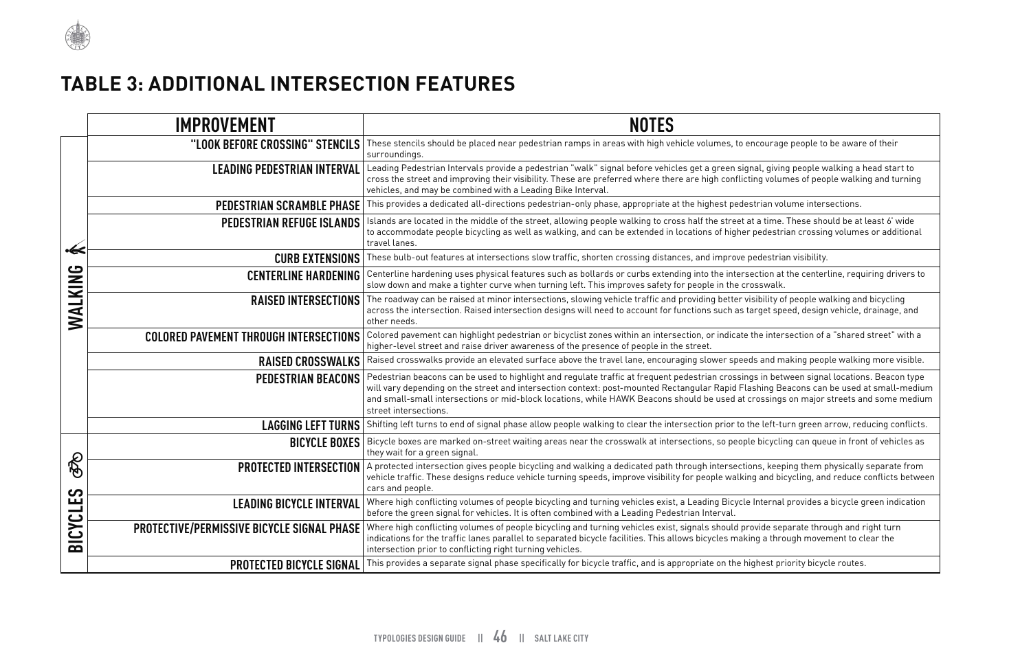courage people to be aware of their

.<br>al, giving people walking a head start to ng volumes of people walking and turning

a time. These should be at least 6' wide tedestrian crossing volumes or additional in locations of this

ction at the centerline, requiring drivers to<br>sswalk.

ibility of people walking and bicycling intersection rget speed, design vehicle, drainage, and

.<br>The intersection of a "shared street" with a

and making people walking more visible.

in between signal locations. Beacon type to highe to highe and regulate traffic and regulate traffic and the te hing Beacons can be used at small-medium ossings on major streets and some medium

e left-turn green arrow, reducing conflicts.

bicycling can queue in front of vehicles as

**Pactem** interstubus a protectulum a protection and  $\epsilon$  from the path of  $\epsilon$ and bicycling, and reduce conflicts between

Internal provides a bicycle green indication

.<br>**Protect subside in** and right turn g a through movement to clear the



# **TABLE 3: ADDITIONAL INTERSECTION FEATURES**

|                                   | <b>IMPROVEMENT</b>                                | <b>NOTES</b>                                                                                                                                                                                                                                                                                                                                                                                               |
|-----------------------------------|---------------------------------------------------|------------------------------------------------------------------------------------------------------------------------------------------------------------------------------------------------------------------------------------------------------------------------------------------------------------------------------------------------------------------------------------------------------------|
| ∙≪<br>WALKING                     | "LOOK BEFORE CROSSING" STENCILS                   | These stencils should be placed near pedestrian ramps in areas with high vehicle volumes, to encourage people to be awar<br>surroundings.                                                                                                                                                                                                                                                                  |
|                                   | <b>LEADING PEDESTRIAN INTERVAL</b>                | Leading Pedestrian Intervals provide a pedestrian "walk" signal before vehicles get a green signal, giving people walking a<br>cross the street and improving their visibility. These are preferred where there are high conflicting volumes of people walki<br>vehicles, and may be combined with a Leading Bike Interval.                                                                                |
|                                   | <b>PEDESTRIAN SCRAMBLE PHASE</b>                  | This provides a dedicated all-directions pedestrian-only phase, appropriate at the highest pedestrian volume intersections.                                                                                                                                                                                                                                                                                |
|                                   | <b>PEDESTRIAN REFUGE ISLANDS</b>                  | Islands are located in the middle of the street, allowing people walking to cross half the street at a time. These should be at<br>to accommodate people bicycling as well as walking, and can be extended in locations of higher pedestrian crossing volume<br>travel lanes.                                                                                                                              |
|                                   | <b>CURB EXTENSIONS</b>                            | These bulb-out features at intersections slow traffic, shorten crossing distances, and improve pedestrian visibility.                                                                                                                                                                                                                                                                                      |
|                                   | <b>CENTERLINE HARDENING</b>                       | Centerline hardening uses physical features such as bollards or curbs extending into the intersection at the centerline, req<br>slow down and make a tighter curve when turning left. This improves safety for people in the crosswalk.                                                                                                                                                                    |
|                                   | <b>RAISED INTERSECTIONS</b>                       | The roadway can be raised at minor intersections, slowing vehicle traffic and providing better visibility of people walking an<br>across the intersection. Raised intersection designs will need to account for functions such as target speed, design vehicle,<br>other needs.                                                                                                                            |
|                                   | <b>COLORED PAVEMENT THROUGH INTERSECTIONS</b>     | Colored pavement can highlight pedestrian or bicyclist zones within an intersection, or indicate the intersection of a "share<br>higher-level street and raise driver awareness of the presence of people in the street.                                                                                                                                                                                   |
|                                   | <b>RAISED CROSSWALKS</b>                          | Raised crosswalks provide an elevated surface above the travel lane, encouraging slower speeds and making people walki                                                                                                                                                                                                                                                                                     |
|                                   | <b>PEDESTRIAN BEACONS</b>                         | Pedestrian beacons can be used to highlight and regulate traffic at frequent pedestrian crossings in between signal locatio<br>will vary depending on the street and intersection context: post-mounted Rectangular Rapid Flashing Beacons can be used<br>and small-small intersections or mid-block locations, while HAWK Beacons should be used at crossings on major streets a<br>street intersections. |
|                                   | <b>LAGGING LEFT TURNS</b>                         | Shifting left turns to end of signal phase allow people walking to clear the intersection prior to the left-turn green arrow, re                                                                                                                                                                                                                                                                           |
| ල්<br><b>LES</b><br><b>BICYCI</b> | <b>BICYCLE BOXES</b>                              | Bicycle boxes are marked on-street waiting areas near the crosswalk at intersections, so people bicycling can queue in fro<br>they wait for a green signal.                                                                                                                                                                                                                                                |
|                                   | <b>PROTECTED INTERSECTION</b>                     | A protected intersection gives people bicycling and walking a dedicated path through intersections, keeping them physically<br>vehicle traffic. These designs reduce vehicle turning speeds, improve visibility for people walking and bicycling, and reduce<br>cars and people.                                                                                                                           |
|                                   | <b>LEADING BICYCLE INTERVAL</b>                   | Where high conflicting volumes of people bicycling and turning vehicles exist, a Leading Bicycle Internal provides a bicycle<br>before the green signal for vehicles. It is often combined with a Leading Pedestrian Interval.                                                                                                                                                                             |
|                                   | <b>PROTECTIVE/PERMISSIVE BICYCLE SIGNAL PHASE</b> | Where high conflicting volumes of people bicycling and turning vehicles exist, signals should provide separate through and<br>indications for the traffic lanes parallel to separated bicycle facilities. This allows bicycles making a through movement to o<br>intersection prior to conflicting right turning vehicles.                                                                                 |
|                                   | <b>PROTECTED BICYCLE SIGNAL</b>                   | This provides a separate signal phase specifically for bicycle traffic, and is appropriate on the highest priority bicycle routes                                                                                                                                                                                                                                                                          |